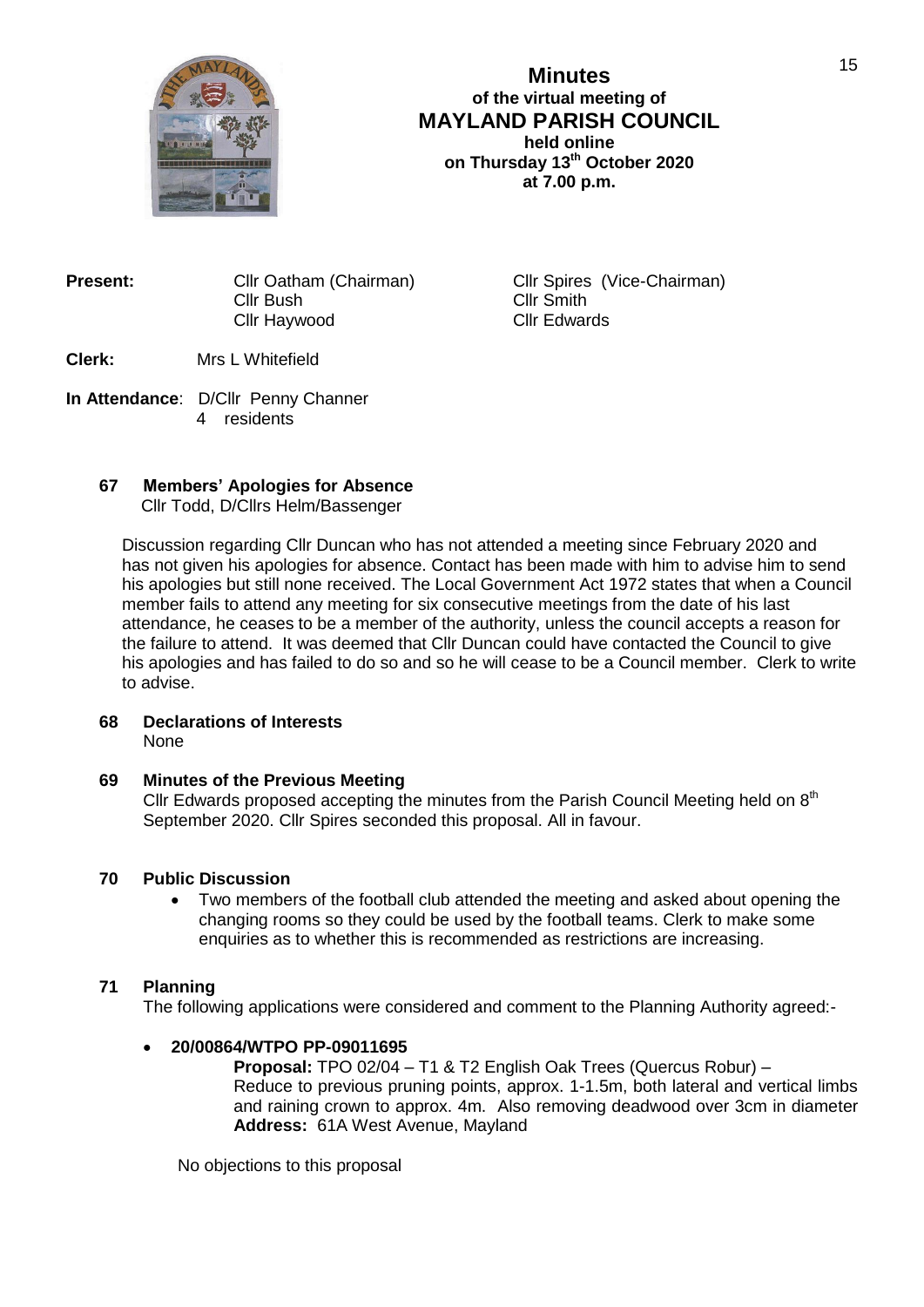

# **Minutes of the virtual meeting of MAYLAND PARISH COUNCIL held online on Thursday 13th October 2020 at 7.00 p.m.**

| <b>Present:</b> | Cllr Oatham (Chairman) |  |
|-----------------|------------------------|--|
|                 | Cllr Bush              |  |
|                 | Cllr Haywood           |  |

**Cllr Spires (Vice-Chairman)** Cllr Smith Cllr Edwards

**Clerk:** Mrs L Whitefield

**In Attendance**: D/Cllr Penny Channer 4 residents

# **67 Members' Apologies for Absence**

Cllr Todd, D/Cllrs Helm/Bassenger

Discussion regarding Cllr Duncan who has not attended a meeting since February 2020 and has not given his apologies for absence. Contact has been made with him to advise him to send his apologies but still none received. The Local Government Act 1972 states that when a Council member fails to attend any meeting for six consecutive meetings from the date of his last attendance, he ceases to be a member of the authority, unless the council accepts a reason for the failure to attend. It was deemed that Cllr Duncan could have contacted the Council to give his apologies and has failed to do so and so he will cease to be a Council member. Clerk to write to advise.

#### **68 Declarations of Interests** None

# **69 Minutes of the Previous Meeting**

Cllr Edwards proposed accepting the minutes from the Parish Council Meeting held on  $8<sup>th</sup>$ September 2020. Cllr Spires seconded this proposal. All in favour.

# **70 Public Discussion**

 Two members of the football club attended the meeting and asked about opening the changing rooms so they could be used by the football teams. Clerk to make some enquiries as to whether this is recommended as restrictions are increasing.

# **71 Planning**

The following applications were considered and comment to the Planning Authority agreed:-

# **20/00864/WTPO PP-09011695**

**Proposal:** TPO 02/04 – T1 & T2 English Oak Trees (Quercus Robur) – Reduce to previous pruning points, approx. 1-1.5m, both lateral and vertical limbs and raining crown to approx. 4m. Also removing deadwood over 3cm in diameter **Address:** 61A West Avenue, Mayland

No objections to this proposal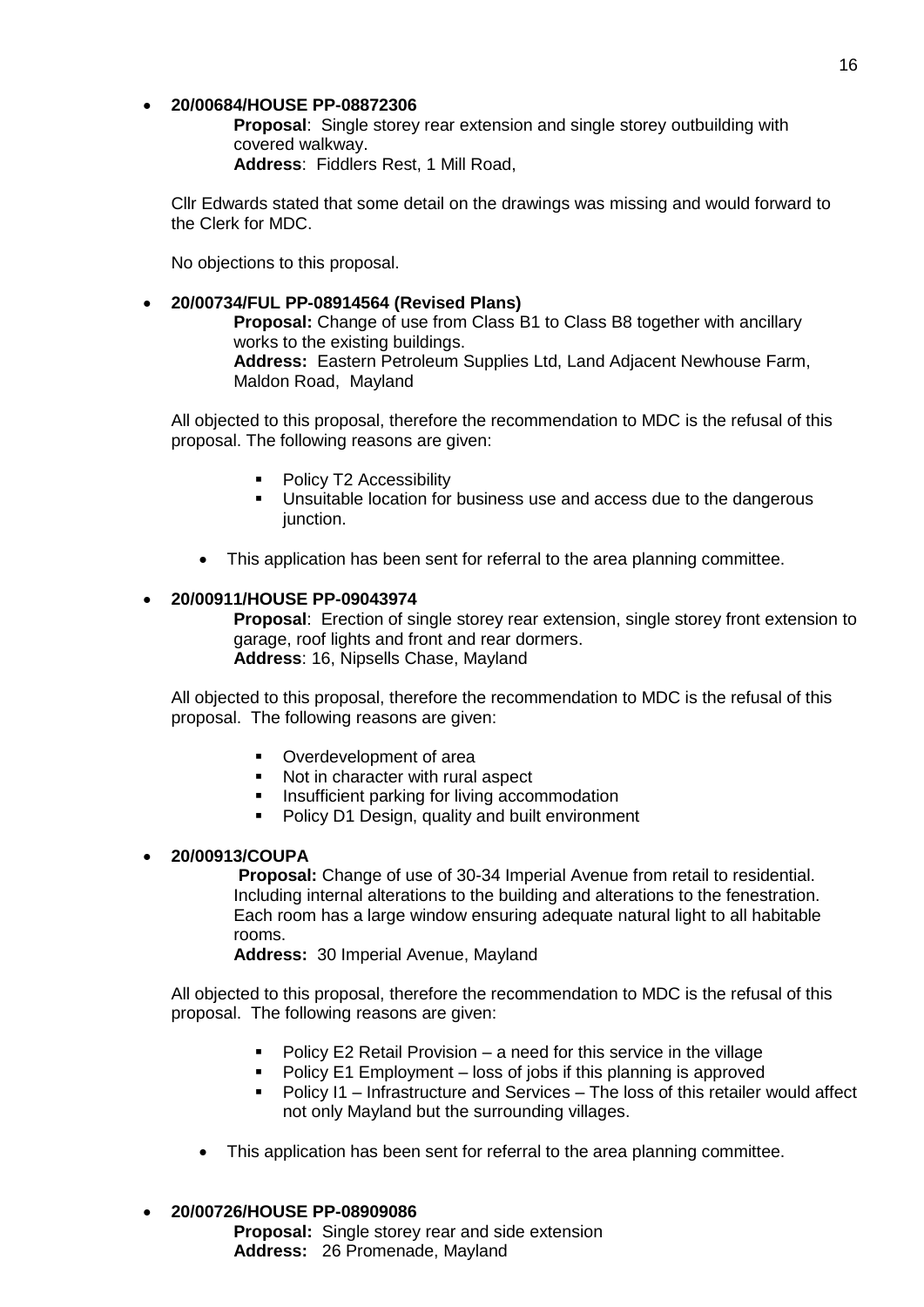## **20/00684/HOUSE PP-08872306**

**Proposal**: Single storey rear extension and single storey outbuilding with covered walkway.

**Address**: Fiddlers Rest, 1 Mill Road,

Cllr Edwards stated that some detail on the drawings was missing and would forward to the Clerk for MDC.

No objections to this proposal.

### **20/00734/FUL PP-08914564 (Revised Plans)**

**Proposal:** Change of use from Class B1 to Class B8 together with ancillary works to the existing buildings. **Address:** Eastern Petroleum Supplies Ltd, Land Adjacent Newhouse Farm, Maldon Road, Mayland

All objected to this proposal, therefore the recommendation to MDC is the refusal of this proposal. The following reasons are given:

- Policy T2 Accessibility
- **Unsuitable location for business use and access due to the dangerous** junction.
- This application has been sent for referral to the area planning committee.

### **20/00911/HOUSE PP-09043974**

**Proposal**: Erection of single storey rear extension, single storey front extension to garage, roof lights and front and rear dormers. **Address**: 16, Nipsells Chase, Mayland

All objected to this proposal, therefore the recommendation to MDC is the refusal of this proposal. The following reasons are given:

- Overdevelopment of area
- Not in character with rural aspect
- **Insufficient parking for living accommodation**
- **Policy D1 Design, quality and built environment**

# **20/00913/COUPA**

**Proposal:** Change of use of 30-34 Imperial Avenue from retail to residential. Including internal alterations to the building and alterations to the fenestration. Each room has a large window ensuring adequate natural light to all habitable rooms.

**Address:** 30 Imperial Avenue, Mayland

All objected to this proposal, therefore the recommendation to MDC is the refusal of this proposal. The following reasons are given:

- **Policy E2 Retail Provision a need for this service in the village**
- Policy E1 Employment loss of jobs if this planning is approved
- Policy I1 Infrastructure and Services The loss of this retailer would affect not only Mayland but the surrounding villages.
- This application has been sent for referral to the area planning committee.

### **20/00726/HOUSE PP-08909086**

**Proposal:** Single storey rear and side extension Address: 26 Promenade, Mayland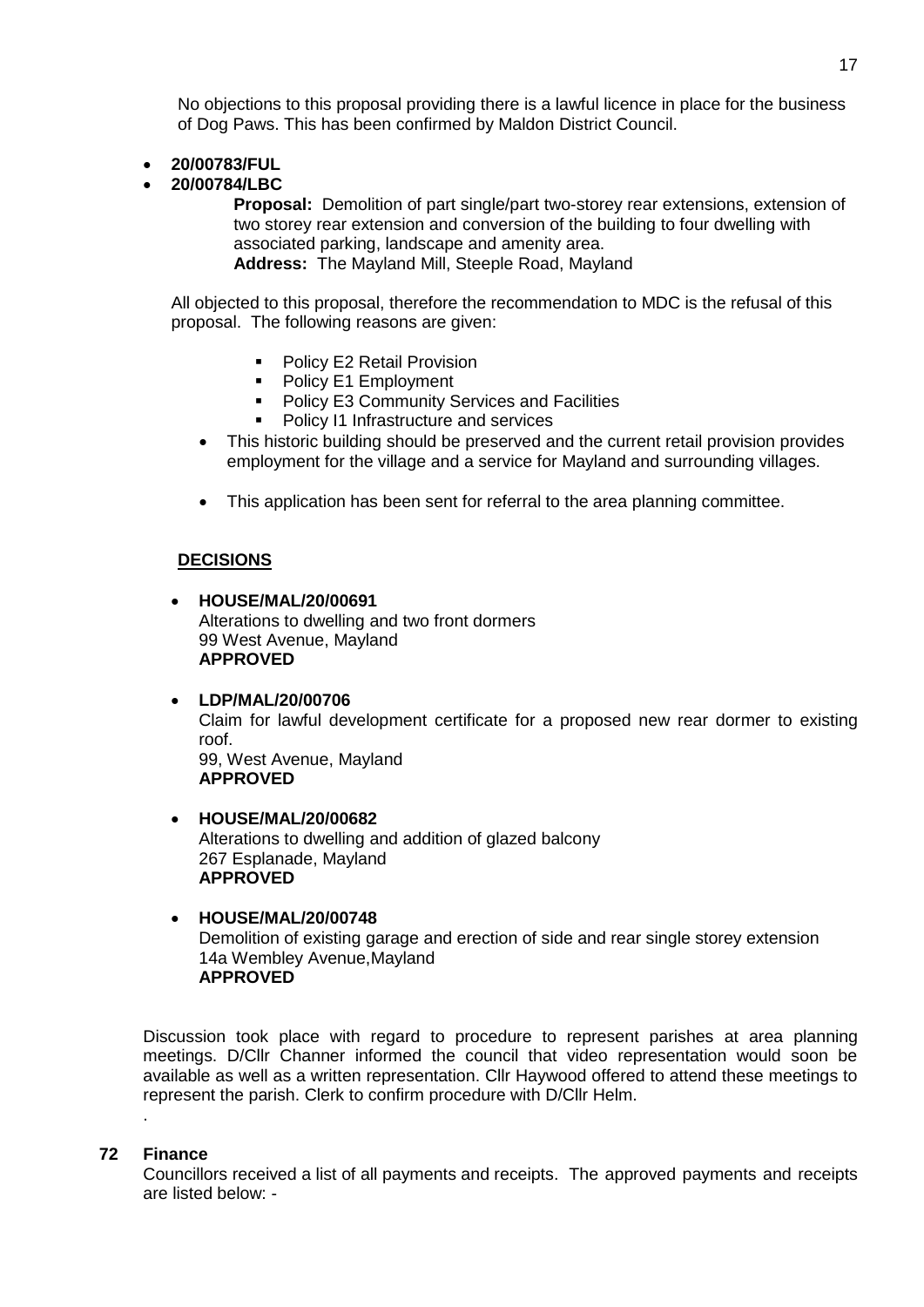No objections to this proposal providing there is a lawful licence in place for the business of Dog Paws. This has been confirmed by Maldon District Council.

- **20/00783/FUL**
- **20/00784/LBC**

**Proposal:** Demolition of part single/part two-storey rear extensions, extension of two storey rear extension and conversion of the building to four dwelling with associated parking, landscape and amenity area.

**Address:** The Mayland Mill, Steeple Road, Mayland

All objected to this proposal, therefore the recommendation to MDC is the refusal of this proposal. The following reasons are given:

- **Policy E2 Retail Provision**
- Policy E1 Employment
- Policy E3 Community Services and Facilities
- Policy I1 Infrastructure and services
- This historic building should be preserved and the current retail provision provides employment for the village and a service for Mayland and surrounding villages.
- This application has been sent for referral to the area planning committee.

#### **DECISIONS**

- **HOUSE/MAL/20/00691** Alterations to dwelling and two front dormers 99 West Avenue, Mayland **APPROVED**
- **LDP/MAL/20/00706** Claim for lawful development certificate for a proposed new rear dormer to existing roof. 99, West Avenue, Mayland **APPROVED**
- **HOUSE/MAL/20/00682** Alterations to dwelling and addition of glazed balcony 267 Esplanade, Mayland **APPROVED**
- **HOUSE/MAL/20/00748** Demolition of existing garage and erection of side and rear single storey extension 14a Wembley Avenue,Mayland **APPROVED**

Discussion took place with regard to procedure to represent parishes at area planning meetings. D/Cllr Channer informed the council that video representation would soon be available as well as a written representation. Cllr Haywood offered to attend these meetings to represent the parish. Clerk to confirm procedure with D/Cllr Helm.

### **72 Finance**

.

Councillors received a list of all payments and receipts. The approved payments and receipts are listed below: -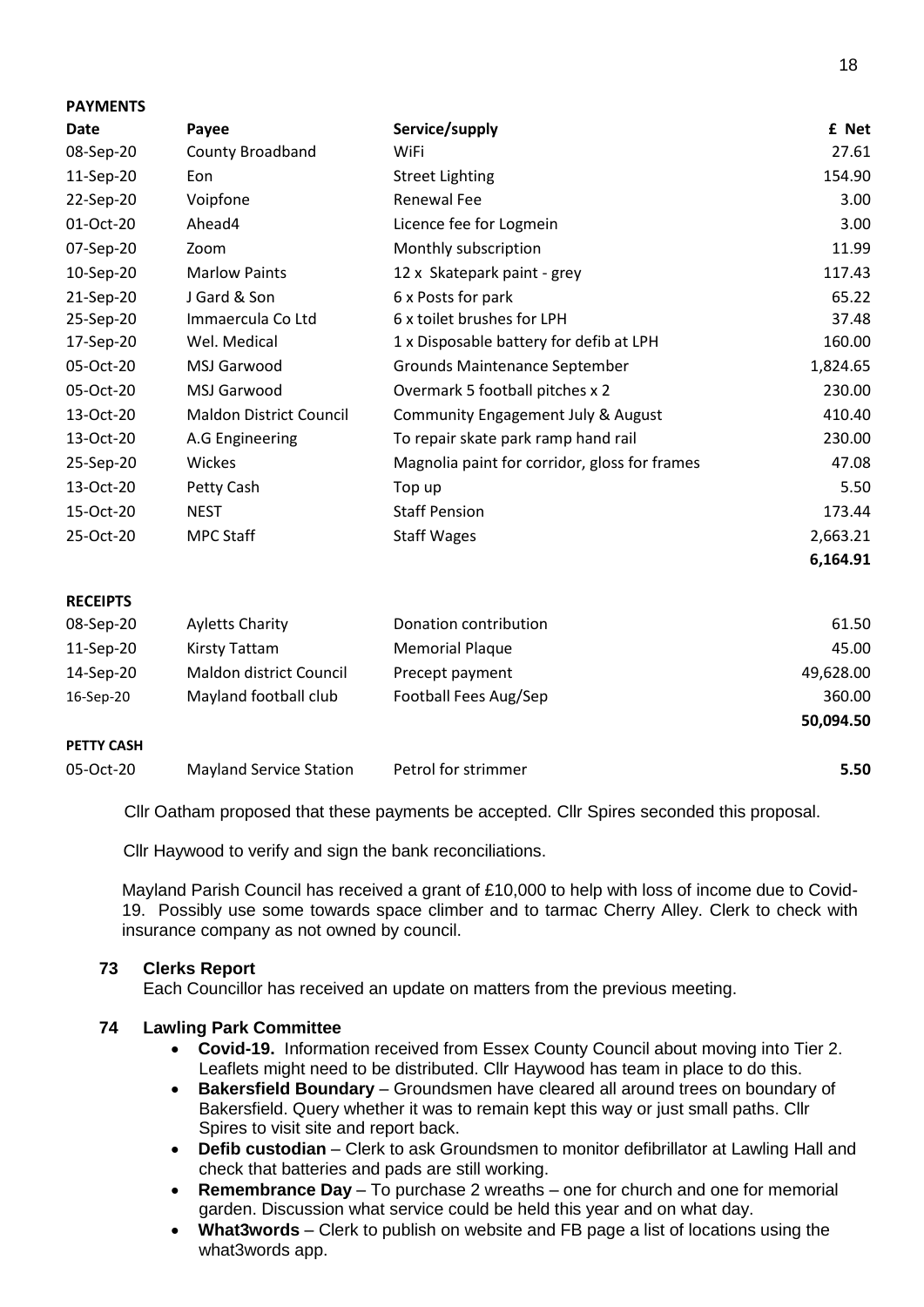| <b>FAINENIJ</b> |                                |                                               |          |
|-----------------|--------------------------------|-----------------------------------------------|----------|
| Date            | Payee                          | Service/supply                                | £ Net    |
| 08-Sep-20       | <b>County Broadband</b>        | WiFi                                          | 27.61    |
| 11-Sep-20       | Eon                            | <b>Street Lighting</b>                        | 154.90   |
| 22-Sep-20       | Voipfone                       | Renewal Fee                                   | 3.00     |
| 01-Oct-20       | Ahead4                         | Licence fee for Logmein                       | 3.00     |
| 07-Sep-20       | Zoom                           | Monthly subscription                          | 11.99    |
| 10-Sep-20       | <b>Marlow Paints</b>           | 12 x Skatepark paint - grey                   | 117.43   |
| 21-Sep-20       | J Gard & Son                   | 6 x Posts for park                            | 65.22    |
| 25-Sep-20       | Immaercula Co Ltd              | 6 x toilet brushes for LPH                    | 37.48    |
| 17-Sep-20       | Wel. Medical                   | 1 x Disposable battery for defib at LPH       | 160.00   |
| 05-Oct-20       | MSJ Garwood                    | Grounds Maintenance September                 | 1,824.65 |
| 05-Oct-20       | MSJ Garwood                    | Overmark 5 football pitches x 2               | 230.00   |
| 13-Oct-20       | <b>Maldon District Council</b> | Community Engagement July & August            | 410.40   |
| 13-Oct-20       | A.G Engineering                | To repair skate park ramp hand rail           | 230.00   |
| 25-Sep-20       | Wickes                         | Magnolia paint for corridor, gloss for frames | 47.08    |
| 13-Oct-20       | Petty Cash                     | Top up                                        | 5.50     |
| 15-Oct-20       | NEST                           | <b>Staff Pension</b>                          | 173.44   |
| 25-Oct-20       | <b>MPC Staff</b>               | <b>Staff Wages</b>                            | 2,663.21 |
|                 |                                |                                               | 6,164.91 |

### **RECEIPTS**

**PAYMENTS**

| 16-Sep-20   | Mayland football club   | Football Fees Aug/Sep  | 360.00<br>50,094.50 |
|-------------|-------------------------|------------------------|---------------------|
| 14-Sep-20   | Maldon district Council | Precept payment        | 49,628.00           |
| $11-Sep-20$ | Kirsty Tattam           | <b>Memorial Plaque</b> | 45.00               |
| 08-Sep-20   | <b>Ayletts Charity</b>  | Donation contribution  | 61.50               |

### **PETTY CASH**

05-Oct-20 Mayland Service Station Petrol for strimmer **5.50**

Cllr Oatham proposed that these payments be accepted. Cllr Spires seconded this proposal.

Cllr Haywood to verify and sign the bank reconciliations.

Mayland Parish Council has received a grant of £10,000 to help with loss of income due to Covid-19. Possibly use some towards space climber and to tarmac Cherry Alley. Clerk to check with insurance company as not owned by council.

### **73 Clerks Report**

Each Councillor has received an update on matters from the previous meeting.

# **74 Lawling Park Committee**

- **Covid-19.** Information received from Essex County Council about moving into Tier 2. Leaflets might need to be distributed. Cllr Haywood has team in place to do this.
- **Bakersfield Boundary** Groundsmen have cleared all around trees on boundary of Bakersfield. Query whether it was to remain kept this way or just small paths. Cllr Spires to visit site and report back.
- **Defib custodian**  Clerk to ask Groundsmen to monitor defibrillator at Lawling Hall and check that batteries and pads are still working.
- **Remembrance Day**  To purchase 2 wreaths one for church and one for memorial garden. Discussion what service could be held this year and on what day.
- **What3words**  Clerk to publish on website and FB page a list of locations using the what3words app.